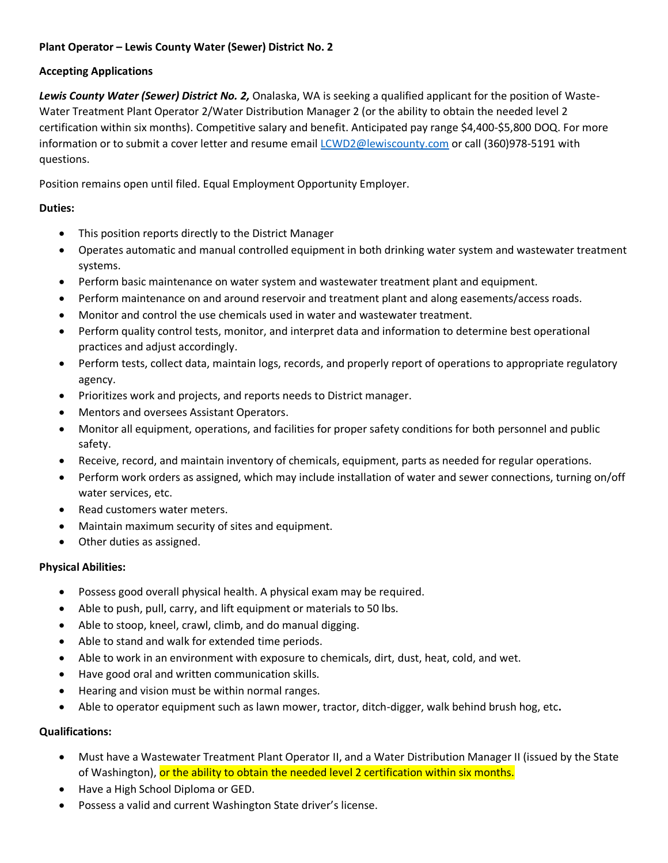# **Plant Operator – Lewis County Water (Sewer) District No. 2**

### **Accepting Applications**

*Lewis County Water (Sewer) District No. 2,* Onalaska, WA is seeking a qualified applicant for the position of Waste-Water Treatment Plant Operator 2/Water Distribution Manager 2 (or the ability to obtain the needed level 2 certification within six months). Competitive salary and benefit. Anticipated pay range \$4,400-\$5,800 DOQ. For more information or to submit a cover letter and resume email [LCWD2@lewiscounty.com](mailto:LCWD2@lewiscounty.com) or call (360)978-5191 with questions.

Position remains open until filed. Equal Employment Opportunity Employer.

# **Duties:**

- This position reports directly to the District Manager
- Operates automatic and manual controlled equipment in both drinking water system and wastewater treatment systems.
- Perform basic maintenance on water system and wastewater treatment plant and equipment.
- Perform maintenance on and around reservoir and treatment plant and along easements/access roads.
- Monitor and control the use chemicals used in water and wastewater treatment.
- Perform quality control tests, monitor, and interpret data and information to determine best operational practices and adjust accordingly.
- Perform tests, collect data, maintain logs, records, and properly report of operations to appropriate regulatory agency.
- Prioritizes work and projects, and reports needs to District manager.
- Mentors and oversees Assistant Operators.
- Monitor all equipment, operations, and facilities for proper safety conditions for both personnel and public safety.
- Receive, record, and maintain inventory of chemicals, equipment, parts as needed for regular operations.
- Perform work orders as assigned, which may include installation of water and sewer connections, turning on/off water services, etc.
- Read customers water meters.
- Maintain maximum security of sites and equipment.
- Other duties as assigned.

# **Physical Abilities:**

- Possess good overall physical health. A physical exam may be required.
- Able to push, pull, carry, and lift equipment or materials to 50 lbs.
- Able to stoop, kneel, crawl, climb, and do manual digging.
- Able to stand and walk for extended time periods.
- Able to work in an environment with exposure to chemicals, dirt, dust, heat, cold, and wet.
- Have good oral and written communication skills.
- Hearing and vision must be within normal ranges.
- Able to operator equipment such as lawn mower, tractor, ditch-digger, walk behind brush hog, etc**.**

# **Qualifications:**

- Must have a Wastewater Treatment Plant Operator II, and a Water Distribution Manager II (issued by the State of Washington), or the ability to obtain the needed level 2 certification within six months.
- Have a High School Diploma or GED.
- Possess a valid and current Washington State driver's license.